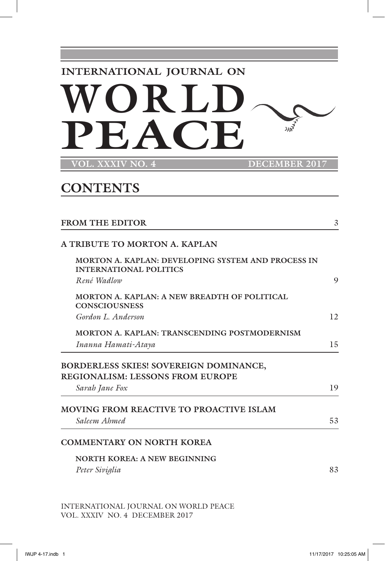## **INTERNATIONAL JOURNAL ON WOR LD PEACE**

**VOL. XXXIV NO. 4** 

## **CONTENTS**

| <b>FROM THE EDITOR</b>                                                              | 3  |
|-------------------------------------------------------------------------------------|----|
| A TRIBUTE TO MORTON A. KAPLAN                                                       |    |
| MORTON A. KAPLAN: DEVELOPING SYSTEM AND PROCESS IN<br><b>INTERNATIONAL POLITICS</b> |    |
| René Wadlow                                                                         | 9  |
| MORTON A. KAPLAN: A NEW BREADTH OF POLITICAL<br><b>CONSCIOUSNESS</b>                |    |
| Gordon L. Anderson                                                                  | 12 |
| <b>MORTON A. KAPLAN: TRANSCENDING POSTMODERNISM</b>                                 |    |
| Inanna Hamati-Ataya                                                                 | 15 |
| BORDERLESS SKIES! SOVEREIGN DOMINANCE,<br><b>REGIONALISM: LESSONS FROM EUROPE</b>   |    |
| Sarah Jane Fox                                                                      | 19 |
| <b>MOVING FROM REACTIVE TO PROACTIVE ISLAM</b><br>Saleem Ahmed                      | 53 |
|                                                                                     |    |
| <b>COMMENTARY ON NORTH KOREA</b>                                                    |    |
| NORTH KOREA: A NEW BEGINNING                                                        |    |
| Peter Siviglia                                                                      | 83 |
|                                                                                     |    |
|                                                                                     |    |

INTERNATIONAL JOURNAL ON WORLD PEACE VOL. XXXIV NO. 4 DECEMBER 2017